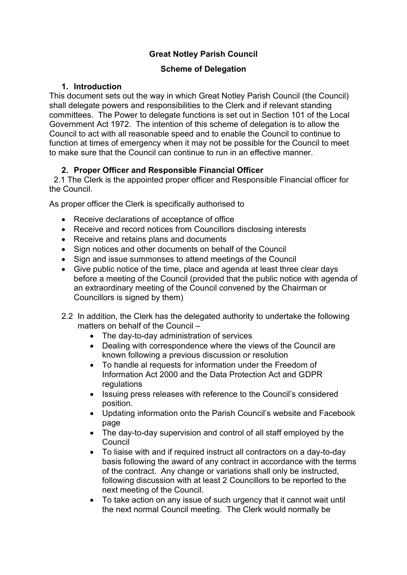# **Great Notley Parish Council**

## **Scheme of Delegation**

### **1. Introduction**

This document sets out the way in which Great Notley Parish Council (the Council) shall delegate powers and responsibilities to the Clerk and if relevant standing committees. The Power to delegate functions is set out in Section 101 of the Local Government Act 1972. The intention of this scheme of delegation is to allow the Council to act with all reasonable speed and to enable the Council to continue to function at times of emergency when it may not be possible for the Council to meet to make sure that the Council can continue to run in an effective manner.

### **2. Proper Officer and Responsible Financial Officer**

 2.1 The Clerk is the appointed proper officer and Responsible Financial officer for the Council.

As proper officer the Clerk is specifically authorised to

- Receive declarations of acceptance of office
- Receive and record notices from Councillors disclosing interests
- Receive and retains plans and documents
- Sign notices and other documents on behalf of the Council
- Sign and issue summonses to attend meetings of the Council
- Give public notice of the time, place and agenda at least three clear days before a meeting of the Council (provided that the public notice with agenda of an extraordinary meeting of the Council convened by the Chairman or Councillors is signed by them)
- 2.2 In addition, the Clerk has the delegated authority to undertake the following matters on behalf of the Council –
	- The day-to-day administration of services
	- Dealing with correspondence where the views of the Council are known following a previous discussion or resolution
	- To handle al requests for information under the Freedom of Information Act 2000 and the Data Protection Act and GDPR regulations
	- Issuing press releases with reference to the Council's considered position.
	- Updating information onto the Parish Council's website and Facebook page
	- The day-to-day supervision and control of all staff employed by the **Council**
	- To liaise with and if required instruct all contractors on a day-to-day basis following the award of any contract in accordance with the terms of the contract. Any change or variations shall only be instructed, following discussion with at least 2 Councillors to be reported to the next meeting of the Council.
	- To take action on any issue of such urgency that it cannot wait until the next normal Council meeting. The Clerk would normally be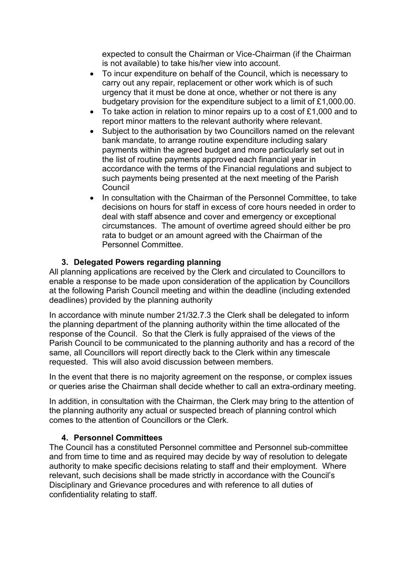expected to consult the Chairman or Vice-Chairman (if the Chairman is not available) to take his/her view into account.

- To incur expenditure on behalf of the Council, which is necessary to carry out any repair, replacement or other work which is of such urgency that it must be done at once, whether or not there is any budgetary provision for the expenditure subject to a limit of £1,000.00.
- To take action in relation to minor repairs up to a cost of £1,000 and to report minor matters to the relevant authority where relevant.
- Subject to the authorisation by two Councillors named on the relevant bank mandate, to arrange routine expenditure including salary payments within the agreed budget and more particularly set out in the list of routine payments approved each financial year in accordance with the terms of the Financial regulations and subject to such payments being presented at the next meeting of the Parish Council
- In consultation with the Chairman of the Personnel Committee, to take decisions on hours for staff in excess of core hours needed in order to deal with staff absence and cover and emergency or exceptional circumstances. The amount of overtime agreed should either be pro rata to budget or an amount agreed with the Chairman of the Personnel Committee.

### **3. Delegated Powers regarding planning**

All planning applications are received by the Clerk and circulated to Councillors to enable a response to be made upon consideration of the application by Councillors at the following Parish Council meeting and within the deadline (including extended deadlines) provided by the planning authority

In accordance with minute number 21/32.7.3 the Clerk shall be delegated to inform the planning department of the planning authority within the time allocated of the response of the Council. So that the Clerk is fully appraised of the views of the Parish Council to be communicated to the planning authority and has a record of the same, all Councillors will report directly back to the Clerk within any timescale requested. This will also avoid discussion between members.

In the event that there is no majority agreement on the response, or complex issues or queries arise the Chairman shall decide whether to call an extra-ordinary meeting.

In addition, in consultation with the Chairman, the Clerk may bring to the attention of the planning authority any actual or suspected breach of planning control which comes to the attention of Councillors or the Clerk.

#### **4. Personnel Committees**

The Council has a constituted Personnel committee and Personnel sub-committee and from time to time and as required may decide by way of resolution to delegate authority to make specific decisions relating to staff and their employment. Where relevant, such decisions shall be made strictly in accordance with the Council's Disciplinary and Grievance procedures and with reference to all duties of confidentiality relating to staff.